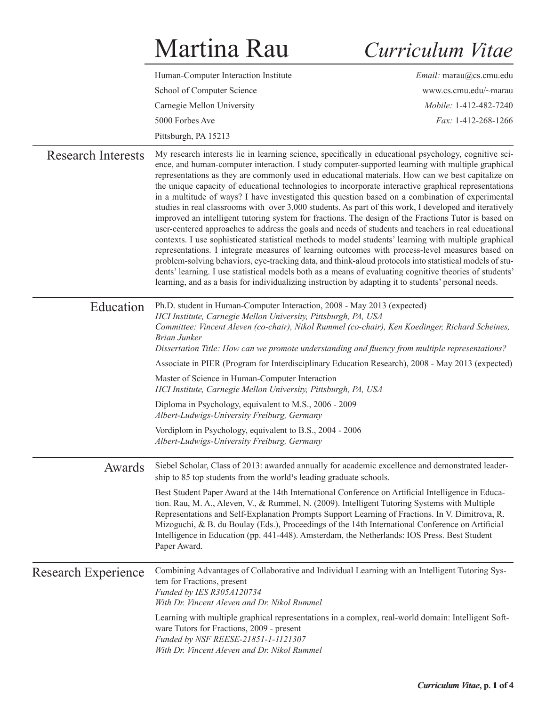## Martina Rau

## *Curriculum Vitae*

|                            | Human-Computer Interaction Institute                                                                                                                                                                                                                                                                                                                                                                                                                                                                                                                                                                                                                                                                                                                                                                                                                                                                                                                                                                                                                                                                                                                                                                                                                                                                                                                                                            | Email: marau@cs.cmu.edu |
|----------------------------|-------------------------------------------------------------------------------------------------------------------------------------------------------------------------------------------------------------------------------------------------------------------------------------------------------------------------------------------------------------------------------------------------------------------------------------------------------------------------------------------------------------------------------------------------------------------------------------------------------------------------------------------------------------------------------------------------------------------------------------------------------------------------------------------------------------------------------------------------------------------------------------------------------------------------------------------------------------------------------------------------------------------------------------------------------------------------------------------------------------------------------------------------------------------------------------------------------------------------------------------------------------------------------------------------------------------------------------------------------------------------------------------------|-------------------------|
|                            | School of Computer Science                                                                                                                                                                                                                                                                                                                                                                                                                                                                                                                                                                                                                                                                                                                                                                                                                                                                                                                                                                                                                                                                                                                                                                                                                                                                                                                                                                      | www.cs.cmu.edu/~marau   |
|                            | Carnegie Mellon University                                                                                                                                                                                                                                                                                                                                                                                                                                                                                                                                                                                                                                                                                                                                                                                                                                                                                                                                                                                                                                                                                                                                                                                                                                                                                                                                                                      | Mobile: 1-412-482-7240  |
|                            | 5000 Forbes Ave                                                                                                                                                                                                                                                                                                                                                                                                                                                                                                                                                                                                                                                                                                                                                                                                                                                                                                                                                                                                                                                                                                                                                                                                                                                                                                                                                                                 | Fax: 1-412-268-1266     |
|                            | Pittsburgh, PA 15213                                                                                                                                                                                                                                                                                                                                                                                                                                                                                                                                                                                                                                                                                                                                                                                                                                                                                                                                                                                                                                                                                                                                                                                                                                                                                                                                                                            |                         |
| <b>Research Interests</b>  | My research interests lie in learning science, specifically in educational psychology, cognitive sci-<br>ence, and human-computer interaction. I study computer-supported learning with multiple graphical<br>representations as they are commonly used in educational materials. How can we best capitalize on<br>the unique capacity of educational technologies to incorporate interactive graphical representations<br>in a multitude of ways? I have investigated this question based on a combination of experimental<br>studies in real classrooms with over 3,000 students. As part of this work, I developed and iteratively<br>improved an intelligent tutoring system for fractions. The design of the Fractions Tutor is based on<br>user-centered approaches to address the goals and needs of students and teachers in real educational<br>contexts. I use sophisticated statistical methods to model students' learning with multiple graphical<br>representations. I integrate measures of learning outcomes with process-level measures based on<br>problem-solving behaviors, eye-tracking data, and think-aloud protocols into statistical models of stu-<br>dents' learning. I use statistical models both as a means of evaluating cognitive theories of students'<br>learning, and as a basis for individualizing instruction by adapting it to students' personal needs. |                         |
| Education                  | Ph.D. student in Human-Computer Interaction, 2008 - May 2013 (expected)<br>HCI Institute, Carnegie Mellon University, Pittsburgh, PA, USA<br>Committee: Vincent Aleven (co-chair), Nikol Rummel (co-chair), Ken Koedinger, Richard Scheines,<br><b>Brian Junker</b><br>Dissertation Title: How can we promote understanding and fluency from multiple representations?                                                                                                                                                                                                                                                                                                                                                                                                                                                                                                                                                                                                                                                                                                                                                                                                                                                                                                                                                                                                                          |                         |
|                            | Associate in PIER (Program for Interdisciplinary Education Research), 2008 - May 2013 (expected)                                                                                                                                                                                                                                                                                                                                                                                                                                                                                                                                                                                                                                                                                                                                                                                                                                                                                                                                                                                                                                                                                                                                                                                                                                                                                                |                         |
|                            | Master of Science in Human-Computer Interaction<br>HCI Institute, Carnegie Mellon University, Pittsburgh, PA, USA                                                                                                                                                                                                                                                                                                                                                                                                                                                                                                                                                                                                                                                                                                                                                                                                                                                                                                                                                                                                                                                                                                                                                                                                                                                                               |                         |
|                            | Diploma in Psychology, equivalent to M.S., 2006 - 2009<br>Albert-Ludwigs-University Freiburg, Germany                                                                                                                                                                                                                                                                                                                                                                                                                                                                                                                                                                                                                                                                                                                                                                                                                                                                                                                                                                                                                                                                                                                                                                                                                                                                                           |                         |
|                            | Vordiplom in Psychology, equivalent to B.S., 2004 - 2006<br>Albert-Ludwigs-University Freiburg, Germany                                                                                                                                                                                                                                                                                                                                                                                                                                                                                                                                                                                                                                                                                                                                                                                                                                                                                                                                                                                                                                                                                                                                                                                                                                                                                         |                         |
| Awards                     | Siebel Scholar, Class of 2013: awarded annually for academic excellence and demonstrated leader-<br>ship to 85 top students from the world <sup>1</sup> s leading graduate schools.                                                                                                                                                                                                                                                                                                                                                                                                                                                                                                                                                                                                                                                                                                                                                                                                                                                                                                                                                                                                                                                                                                                                                                                                             |                         |
|                            | Best Student Paper Award at the 14th International Conference on Artificial Intelligence in Educa-<br>tion. Rau, M. A., Aleven, V., & Rummel, N. (2009). Intelligent Tutoring Systems with Multiple<br>Representations and Self-Explanation Prompts Support Learning of Fractions. In V. Dimitrova, R.<br>Mizoguchi, & B. du Boulay (Eds.), Proceedings of the 14th International Conference on Artificial<br>Intelligence in Education (pp. 441-448). Amsterdam, the Netherlands: IOS Press. Best Student<br>Paper Award.                                                                                                                                                                                                                                                                                                                                                                                                                                                                                                                                                                                                                                                                                                                                                                                                                                                                      |                         |
| <b>Research Experience</b> | Combining Advantages of Collaborative and Individual Learning with an Intelligent Tutoring Sys-<br>tem for Fractions, present<br>Funded by IES R305A120734<br>With Dr. Vincent Aleven and Dr. Nikol Rummel<br>Learning with multiple graphical representations in a complex, real-world domain: Intelligent Soft-<br>ware Tutors for Fractions, 2009 - present<br>Funded by NSF REESE-21851-1-1121307                                                                                                                                                                                                                                                                                                                                                                                                                                                                                                                                                                                                                                                                                                                                                                                                                                                                                                                                                                                           |                         |
|                            | With Dr. Vincent Aleven and Dr. Nikol Rummel                                                                                                                                                                                                                                                                                                                                                                                                                                                                                                                                                                                                                                                                                                                                                                                                                                                                                                                                                                                                                                                                                                                                                                                                                                                                                                                                                    |                         |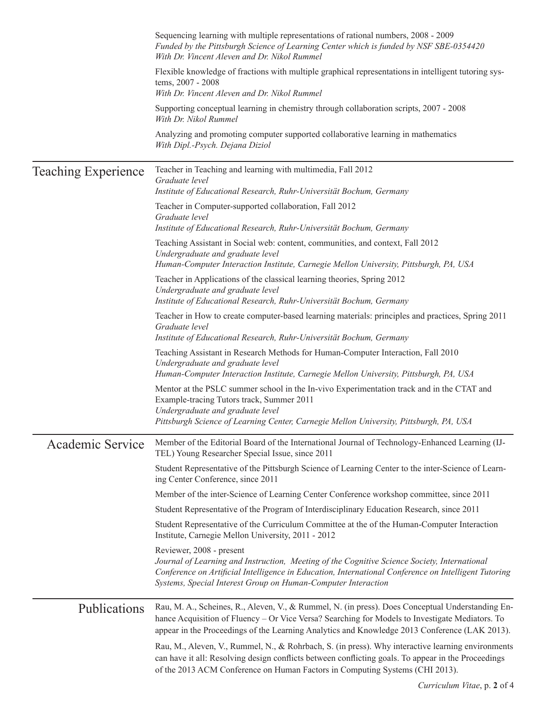|                            | Sequencing learning with multiple representations of rational numbers, 2008 - 2009<br>Funded by the Pittsburgh Science of Learning Center which is funded by NSF SBE-0354420<br>With Dr. Vincent Aleven and Dr. Nikol Rummel                                                                         |
|----------------------------|------------------------------------------------------------------------------------------------------------------------------------------------------------------------------------------------------------------------------------------------------------------------------------------------------|
|                            | Flexible knowledge of fractions with multiple graphical representations in intelligent tutoring sys-<br>tems, 2007 - 2008<br>With Dr. Vincent Aleven and Dr. Nikol Rummel                                                                                                                            |
|                            | Supporting conceptual learning in chemistry through collaboration scripts, 2007 - 2008<br>With Dr. Nikol Rummel                                                                                                                                                                                      |
|                            | Analyzing and promoting computer supported collaborative learning in mathematics<br>With Dipl.-Psych. Dejana Diziol                                                                                                                                                                                  |
| <b>Teaching Experience</b> | Teacher in Teaching and learning with multimedia, Fall 2012<br>Graduate level<br>Institute of Educational Research, Ruhr-Universität Bochum, Germany                                                                                                                                                 |
|                            | Teacher in Computer-supported collaboration, Fall 2012<br>Graduate level<br>Institute of Educational Research, Ruhr-Universität Bochum, Germany                                                                                                                                                      |
|                            | Teaching Assistant in Social web: content, communities, and context, Fall 2012<br>Undergraduate and graduate level<br>Human-Computer Interaction Institute, Carnegie Mellon University, Pittsburgh, PA, USA                                                                                          |
|                            | Teacher in Applications of the classical learning theories, Spring 2012<br>Undergraduate and graduate level<br>Institute of Educational Research, Ruhr-Universität Bochum, Germany                                                                                                                   |
|                            | Teacher in How to create computer-based learning materials: principles and practices, Spring 2011<br>Graduate level<br>Institute of Educational Research, Ruhr-Universität Bochum, Germany                                                                                                           |
|                            | Teaching Assistant in Research Methods for Human-Computer Interaction, Fall 2010<br>Undergraduate and graduate level<br>Human-Computer Interaction Institute, Carnegie Mellon University, Pittsburgh, PA, USA                                                                                        |
|                            | Mentor at the PSLC summer school in the In-vivo Experimentation track and in the CTAT and<br>Example-tracing Tutors track, Summer 2011<br>Undergraduate and graduate level<br>Pittsburgh Science of Learning Center, Carnegie Mellon University, Pittsburgh, PA, USA                                 |
| Academic Service           | Member of the Editorial Board of the International Journal of Technology-Enhanced Learning (IJ-<br>TEL) Young Researcher Special Issue, since 2011                                                                                                                                                   |
|                            | Student Representative of the Pittsburgh Science of Learning Center to the inter-Science of Learn-<br>ing Center Conference, since 2011                                                                                                                                                              |
|                            | Member of the inter-Science of Learning Center Conference workshop committee, since 2011                                                                                                                                                                                                             |
|                            | Student Representative of the Program of Interdisciplinary Education Research, since 2011                                                                                                                                                                                                            |
|                            | Student Representative of the Curriculum Committee at the of the Human-Computer Interaction<br>Institute, Carnegie Mellon University, 2011 - 2012                                                                                                                                                    |
|                            | Reviewer, 2008 - present<br>Journal of Learning and Instruction, Meeting of the Cognitive Science Society, International<br>Conference on Artificial Intelligence in Education, International Conference on Intelligent Tutoring<br>Systems, Special Interest Group on Human-Computer Interaction    |
| Publications               | Rau, M. A., Scheines, R., Aleven, V., & Rummel, N. (in press). Does Conceptual Understanding En-<br>hance Acquisition of Fluency – Or Vice Versa? Searching for Models to Investigate Mediators. To<br>appear in the Proceedings of the Learning Analytics and Knowledge 2013 Conference (LAK 2013). |
|                            | Rau, M., Aleven, V., Rummel, N., & Rohrbach, S. (in press). Why interactive learning environments<br>can have it all: Resolving design conflicts between conflicting goals. To appear in the Proceedings<br>of the 2013 ACM Conference on Human Factors in Computing Systems (CHI 2013).             |
|                            | Corrientum Vitae $\eta$ of $\ell$                                                                                                                                                                                                                                                                    |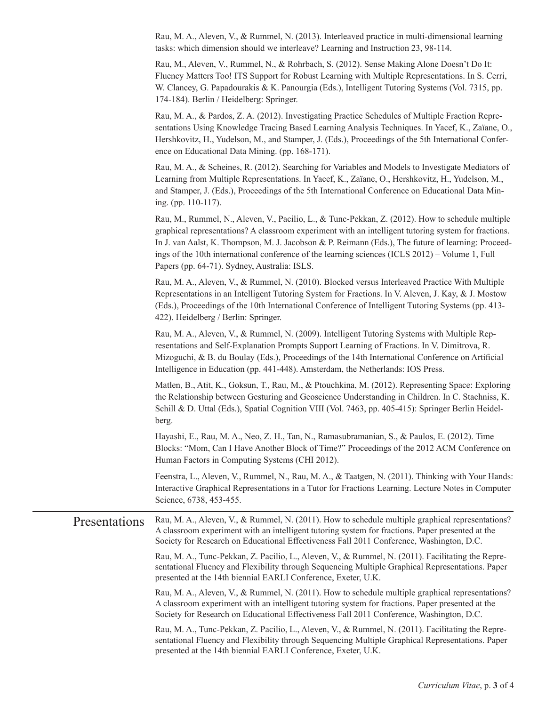Rau, M. A., Aleven, V., & Rummel, N. (2013). Interleaved practice in multi-dimensional learning tasks: which dimension should we interleave? Learning and Instruction 23, 98-114.

Rau, M., Aleven, V., Rummel, N., & Rohrbach, S. (2012). Sense Making Alone Doesn't Do It: Fluency Matters Too! ITS Support for Robust Learning with Multiple Representations. In S. Cerri, W. Clancey, G. Papadourakis & K. Panourgia (Eds.), Intelligent Tutoring Systems (Vol. 7315, pp. 174-184). Berlin / Heidelberg: Springer.

Rau, M. A., & Pardos, Z. A. (2012). Investigating Practice Schedules of Multiple Fraction Representations Using Knowledge Tracing Based Learning Analysis Techniques. In Yacef, K., Zaïane, O., Hershkovitz, H., Yudelson, M., and Stamper, J. (Eds.), Proceedings of the 5th International Conference on Educational Data Mining. (pp. 168-171).

Rau, M. A., & Scheines, R. (2012). Searching for Variables and Models to Investigate Mediators of Learning from Multiple Representations. In Yacef, K., Zaïane, O., Hershkovitz, H., Yudelson, M., and Stamper, J. (Eds.), Proceedings of the 5th International Conference on Educational Data Mining. (pp. 110-117).

Rau, M., Rummel, N., Aleven, V., Pacilio, L., & Tunc-Pekkan, Z. (2012). How to schedule multiple graphical representations? A classroom experiment with an intelligent tutoring system for fractions. In J. van Aalst, K. Thompson, M. J. Jacobson & P. Reimann (Eds.), The future of learning: Proceedings of the 10th international conference of the learning sciences (ICLS 2012) – Volume 1, Full Papers (pp. 64-71). Sydney, Australia: ISLS.

Rau, M. A., Aleven, V., & Rummel, N. (2010). Blocked versus Interleaved Practice With Multiple Representations in an Intelligent Tutoring System for Fractions. In V. Aleven, J. Kay, & J. Mostow (Eds.), Proceedings of the 10th International Conference of Intelligent Tutoring Systems (pp. 413- 422). Heidelberg / Berlin: Springer.

Rau, M. A., Aleven, V., & Rummel, N. (2009). Intelligent Tutoring Systems with Multiple Representations and Self-Explanation Prompts Support Learning of Fractions. In V. Dimitrova, R. Mizoguchi, & B. du Boulay (Eds.), Proceedings of the 14th International Conference on Artificial Intelligence in Education (pp. 441-448). Amsterdam, the Netherlands: IOS Press.

Matlen, B., Atit, K., Goksun, T., Rau, M., & Ptouchkina, M. (2012). Representing Space: Exploring the Relationship between Gesturing and Geoscience Understanding in Children. In C. Stachniss, K. Schill & D. Uttal (Eds.), Spatial Cognition VIII (Vol. 7463, pp. 405-415): Springer Berlin Heidelberg.

Hayashi, E., Rau, M. A., Neo, Z. H., Tan, N., Ramasubramanian, S., & Paulos, E. (2012). Time Blocks: "Mom, Can I Have Another Block of Time?" Proceedings of the 2012 ACM Conference on Human Factors in Computing Systems (CHI 2012).

Feenstra, L., Aleven, V., Rummel, N., Rau, M. A., & Taatgen, N. (2011). Thinking with Your Hands: Interactive Graphical Representations in a Tutor for Fractions Learning. Lecture Notes in Computer Science, 6738, 453-455.

## Rau, M. A., Aleven, V., & Rummel, N. (2011). How to schedule multiple graphical representations? A classroom experiment with an intelligent tutoring system for fractions. Paper presented at the Society for Research on Educational Effectiveness Fall 2011 Conference, Washington, D.C. Presentations

Rau, M. A., Tunc-Pekkan, Z. Pacilio, L., Aleven, V., & Rummel, N. (2011). Facilitating the Representational Fluency and Flexibility through Sequencing Multiple Graphical Representations. Paper presented at the 14th biennial EARLI Conference, Exeter, U.K.

Rau, M. A., Aleven, V., & Rummel, N. (2011). How to schedule multiple graphical representations? A classroom experiment with an intelligent tutoring system for fractions. Paper presented at the Society for Research on Educational Effectiveness Fall 2011 Conference, Washington, D.C.

Rau, M. A., Tunc-Pekkan, Z. Pacilio, L., Aleven, V., & Rummel, N. (2011). Facilitating the Representational Fluency and Flexibility through Sequencing Multiple Graphical Representations. Paper presented at the 14th biennial EARLI Conference, Exeter, U.K.